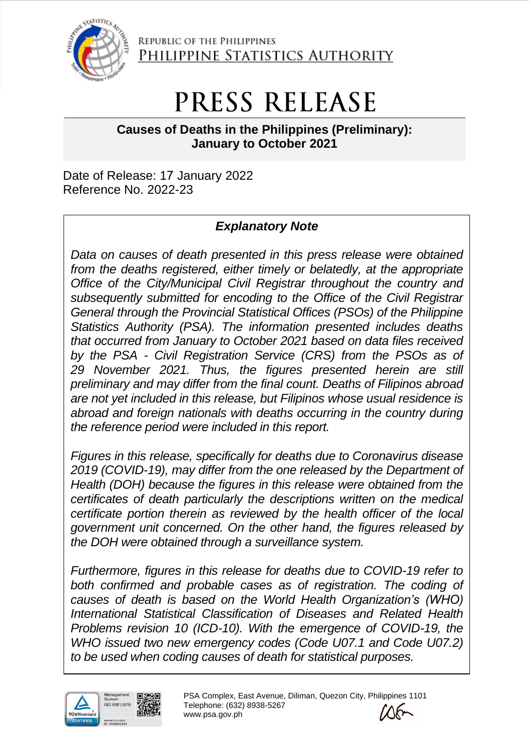

REPUBLIC OF THE PHILIPPINES PHILIPPINE STATISTICS AUTHORITY

# PRESS RELEASE

**Causes of Deaths in the Philippines (Preliminary): January to October 2021**

Date of Release: 17 January 2022 Reference No. 2022-23

# *Explanatory Note*

*Data on causes of death presented in this press release were obtained from the deaths registered, either timely or belatedly, at the appropriate Office of the City/Municipal Civil Registrar throughout the country and subsequently submitted for encoding to the Office of the Civil Registrar General through the Provincial Statistical Offices (PSOs) of the Philippine Statistics Authority (PSA). The information presented includes deaths that occurred from January to October 2021 based on data files received by the PSA - Civil Registration Service (CRS) from the PSOs as of 29 November 2021. Thus, the figures presented herein are still preliminary and may differ from the final count. Deaths of Filipinos abroad are not yet included in this release, but Filipinos whose usual residence is abroad and foreign nationals with deaths occurring in the country during the reference period were included in this report.* 

*Figures in this release, specifically for deaths due to Coronavirus disease 2019 (COVID-19), may differ from the one released by the Department of Health (DOH) because the figures in this release were obtained from the certificates of death particularly the descriptions written on the medical certificate portion therein as reviewed by the health officer of the local government unit concerned. On the other hand, the figures released by the DOH were obtained through a surveillance system.*

*Furthermore, figures in this release for deaths due to COVID-19 refer to both confirmed and probable cases as of registration. The coding of causes of death is based on the World Health Organization's (WHO) International Statistical Classification of Diseases and Related Health Problems revision 10 (ICD-10). With the emergence of COVID-19, the WHO issued two new emergency codes (Code U07.1 and Code U07.2) to be used when coding causes of death for statistical purposes.*



PSA Complex, East Avenue, Diliman, Quezon City, Philippines 1101 Telephone: (632) 8938-5267 www.psa.gov.ph

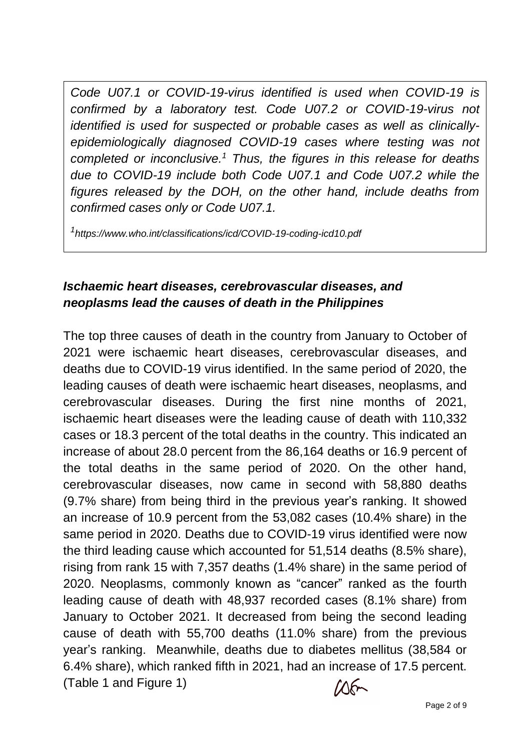*Code U07.1 or COVID-19-virus identified is used when COVID-19 is confirmed by a laboratory test. Code U07.2 or COVID-19-virus not identified is used for suspected or probable cases as well as clinicallyepidemiologically diagnosed COVID-19 cases where testing was not completed or inconclusive. <sup>1</sup> Thus, the figures in this release for deaths due to COVID-19 include both Code U07.1 and Code U07.2 while the figures released by the DOH, on the other hand, include deaths from confirmed cases only or Code U07.1.*

*1 https://www.who.int/classifications/icd/COVID-19-coding-icd10.pdf*

#### *Ischaemic heart diseases, cerebrovascular diseases, and neoplasms lead the causes of death in the Philippines*

The top three causes of death in the country from January to October of 2021 were ischaemic heart diseases, cerebrovascular diseases, and deaths due to COVID-19 virus identified. In the same period of 2020, the leading causes of death were ischaemic heart diseases, neoplasms, and cerebrovascular diseases. During the first nine months of 2021, ischaemic heart diseases were the leading cause of death with 110,332 cases or 18.3 percent of the total deaths in the country. This indicated an increase of about 28.0 percent from the 86,164 deaths or 16.9 percent of the total deaths in the same period of 2020. On the other hand, cerebrovascular diseases, now came in second with 58,880 deaths (9.7% share) from being third in the previous year's ranking. It showed an increase of 10.9 percent from the 53,082 cases (10.4% share) in the same period in 2020. Deaths due to COVID-19 virus identified were now the third leading cause which accounted for 51,514 deaths (8.5% share), rising from rank 15 with 7,357 deaths (1.4% share) in the same period of 2020. Neoplasms, commonly known as "cancer" ranked as the fourth leading cause of death with 48,937 recorded cases (8.1% share) from January to October 2021. It decreased from being the second leading cause of death with 55,700 deaths (11.0% share) from the previous year's ranking. Meanwhile, deaths due to diabetes mellitus (38,584 or 6.4% share), which ranked fifth in 2021, had an increase of 17.5 percent. (Table 1 and Figure 1)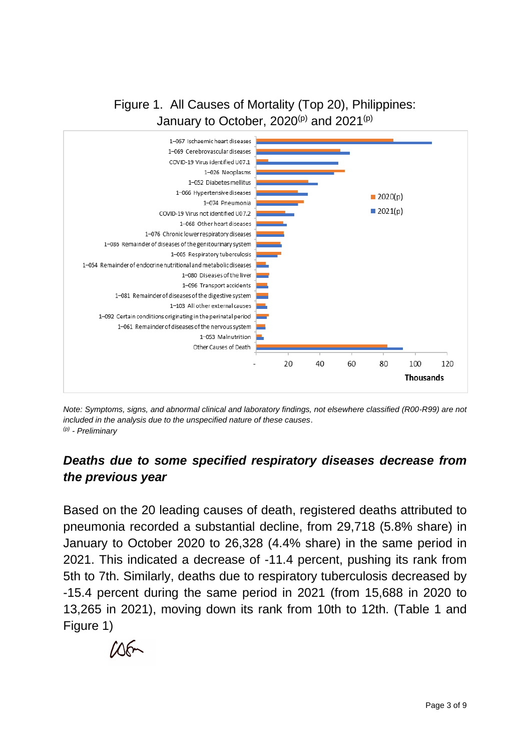## Figure 1. All Causes of Mortality (Top 20), Philippines: January to October, 2020<sup>(p)</sup> and 2021<sup>(p)</sup>



*Note: Symptoms, signs, and abnormal clinical and laboratory findings, not elsewhere classified (R00-R99) are not included in the analysis due to the unspecified nature of these causes*. *(p) - Preliminary*

### *Deaths due to some specified respiratory diseases decrease from the previous year*

Based on the 20 leading causes of death, registered deaths attributed to pneumonia recorded a substantial decline, from 29,718 (5.8% share) in January to October 2020 to 26,328 (4.4% share) in the same period in 2021. This indicated a decrease of -11.4 percent, pushing its rank from 5th to 7th. Similarly, deaths due to respiratory tuberculosis decreased by -15.4 percent during the same period in 2021 (from 15,688 in 2020 to 13,265 in 2021), moving down its rank from 10th to 12th. (Table 1 and Figure 1)

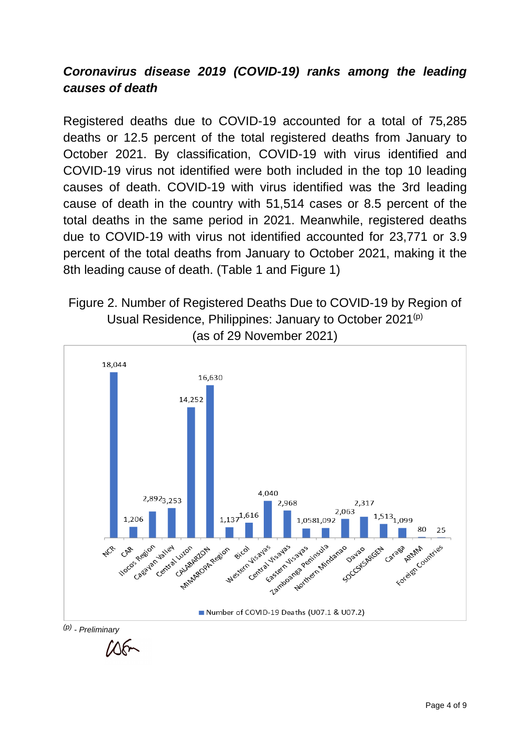### *Coronavirus disease 2019 (COVID-19) ranks among the leading causes of death*

Registered deaths due to COVID-19 accounted for a total of 75,285 deaths or 12.5 percent of the total registered deaths from January to October 2021. By classification, COVID-19 with virus identified and COVID-19 virus not identified were both included in the top 10 leading causes of death. COVID-19 with virus identified was the 3rd leading cause of death in the country with 51,514 cases or 8.5 percent of the total deaths in the same period in 2021. Meanwhile, registered deaths due to COVID-19 with virus not identified accounted for 23,771 or 3.9 percent of the total deaths from January to October 2021, making it the 8th leading cause of death. (Table 1 and Figure 1)

#### Figure 2. Number of Registered Deaths Due to COVID-19 by Region of Usual Residence, Philippines: January to October 2021<sup>(p)</sup> (as of 29 November 2021)



 $\Lambda$ 6+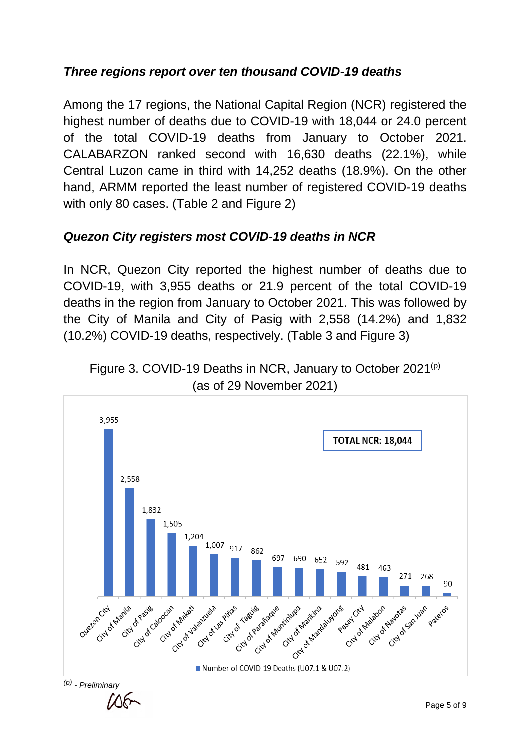## *Three regions report over ten thousand COVID-19 deaths*

Among the 17 regions, the National Capital Region (NCR) registered the highest number of deaths due to COVID-19 with 18,044 or 24.0 percent of the total COVID-19 deaths from January to October 2021. CALABARZON ranked second with 16,630 deaths (22.1%), while Central Luzon came in third with 14,252 deaths (18.9%). On the other hand, ARMM reported the least number of registered COVID-19 deaths with only 80 cases. (Table 2 and Figure 2)

### *Quezon City registers most COVID-19 deaths in NCR*

In NCR, Quezon City reported the highest number of deaths due to COVID-19, with 3,955 deaths or 21.9 percent of the total COVID-19 deaths in the region from January to October 2021. This was followed by the City of Manila and City of Pasig with 2,558 (14.2%) and 1,832 (10.2%) COVID-19 deaths, respectively. (Table 3 and Figure 3)



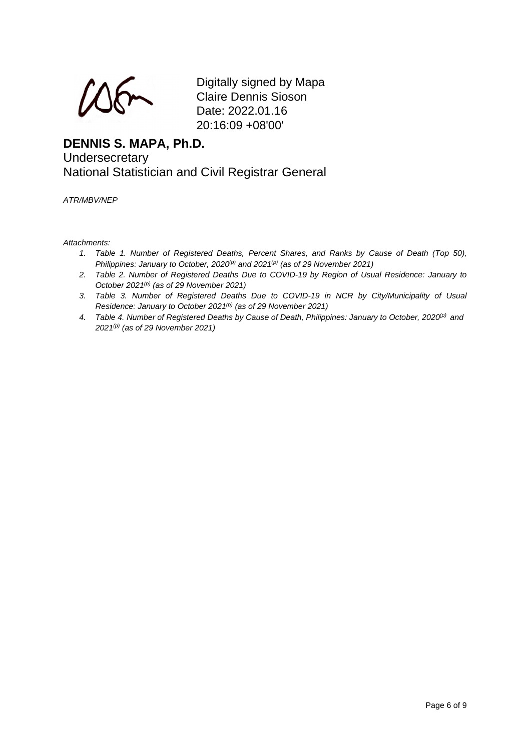Digitally signed by Mapa Claire Dennis Sioson Date: 2022.01.16 20:16:09 +08'00'

#### **DENNIS S. MAPA, Ph.D. Undersecretary** National Statistician and Civil Registrar General

*ATR/MBV/NEP*

*Attachments:*

- *1. Table 1. Number of Registered Deaths, Percent Shares, and Ranks by Cause of Death (Top 50), Philippines: January to October, 2020<sup>(p)</sup> and 2021<sup>(p)</sup> (as of 29 November 2021)*
- *2. Table 2. Number of Registered Deaths Due to COVID-19 by Region of Usual Residence: January to October 2021 (p) (as of 29 November 2021)*
- *3. Table 3. Number of Registered Deaths Due to COVID-19 in NCR by City/Municipality of Usual Residence: January to October 2021 (p) (as of 29 November 2021)*
- *4. Table 4. Number of Registered Deaths by Cause of Death, Philippines: January to October, 2020(p) and 2021 (p) (as of 29 November 2021)*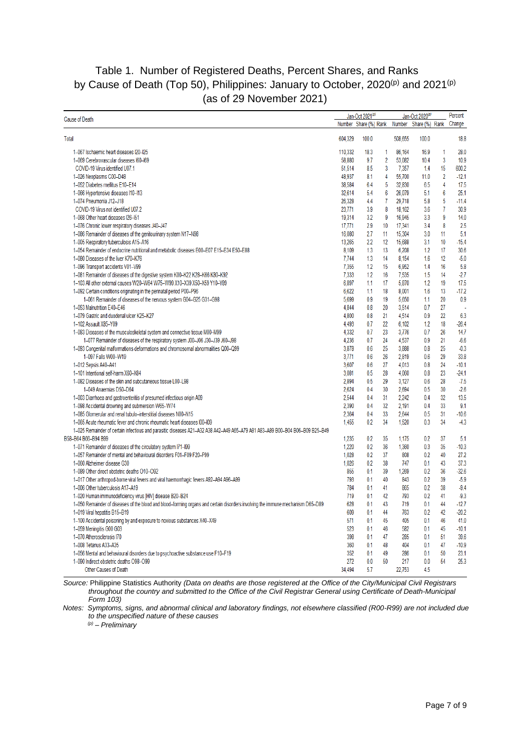#### Table 1. Number of Registered Deaths, Percent Shares, and Ranks by Cause of Death (Top 50), Philippines: January to October, 2020<sup>(p)</sup> and 2021<sup>(p)</sup> (as of 29 November 2021)

|                                                                                                                                |                       | Jan-Oct 2021(p) |                |         | Jan-Oct 2020 <sup>(p)</sup> |                |                   |
|--------------------------------------------------------------------------------------------------------------------------------|-----------------------|-----------------|----------------|---------|-----------------------------|----------------|-------------------|
| <b>Cause of Death</b>                                                                                                          | Number Share (%) Rank |                 |                |         | Number Share (%)            | Rank           | Percent<br>Change |
| Total                                                                                                                          | 604,329               | 100.0           |                | 508,655 | 100.0                       |                | 18.8              |
| 1-067 Ischaemic heart diseases I20-I25                                                                                         | 110,332               | 18.3            | 1              | 86,164  | 16.9                        | 1              | 28.0              |
| 1-069 Cerebrovascular diseases I60-I69                                                                                         | 58,880                | 9.7             | $\overline{2}$ | 53,082  | 10.4                        | 3              | 10.9              |
| COVID-19 Virus identified U07.1                                                                                                | 51,514                | 8.5             | 3              | 7,357   | 1.4                         | 15             | 600.2             |
| 1-026 Neoplasms C00-D48                                                                                                        | 48,937                | 8.1             | 4              | 55,700  | 11.0                        | $\overline{2}$ | $-12.1$           |
| 1-052 Diabetes mellitus E10-E14                                                                                                | 38,584                | 6.4             | 5              | 32,830  | 6.5                         | 4              | 17.5              |
| 1-066 Hypertensive diseases I10-I13                                                                                            | 32,614                | 5.4             | 6              | 26,079  | 5.1                         | 6              | 25.1              |
| 1-074 Pneumonia J12-J18                                                                                                        | 26,328                | 4.4             | $\overline{7}$ | 29,718  | 5.8                         | 5              | $-11.4$           |
|                                                                                                                                |                       |                 |                |         |                             | 7              | 30.9              |
| COVID-19 Virus not identified U07.2                                                                                            | 23,771                | 3.9             | 8              | 18,162  | 3.6                         |                |                   |
| 1-068 Other heart diseases I26-I51                                                                                             | 19.314                | 3.2             | 9              | 16.945  | 3.3                         | 9              | 14.0              |
| 1-076 Chronic lower respiratory diseases J40-J47                                                                               | 17,771                | 2.9             | 10             | 17,341  | 3.4                         | 8              | 2.5               |
| 1-086 Remainder of diseases of the genitourinary system N17-N98                                                                | 16,080                | 2.7             | 11             | 15,304  | 3.0                         | 11             | 5.1               |
| 1-005 Respiratory tuberculosis A15-A16                                                                                         | 13,265                | 2.2             | 12             | 15,688  | 3.1                         | 10             | $-15.4$           |
| 1-054 Remainder of endocrine nutritional and metabolic diseases E00-E07 E15-E34 E50-E88                                        | 8.109                 | 1.3             | 13             | 6,208   | 1.2                         | 17             | 30.6              |
| 1-080 Diseases of the liver K70-K76                                                                                            | 7,744                 | 1.3             | 14             | 8,154   | 1.6                         | 12             | $-5.0$            |
| 1-096 Transport accidents V01-V99                                                                                              | 7,355                 | 1.2             | 15             | 6,952   | 1.4                         | 16             | 5.8               |
| 1-081 Remainder of diseases of the digestive system K00-K22 K28-K66 K80-K92                                                    | 7.333                 | 1.2             | 16             | 7.535   | 1.5                         | 14             | $-2.7$            |
| 1-103 All other external causes W20-W64 W75-W99 X10-X39 X50-X59 Y10-Y89                                                        | 6,897                 | 1.1             | 17             | 5,870   | 1.2                         | 19             | 17.5              |
| 1-092 Certain conditions originating in the perinatal period P00-P96                                                           | 6,622                 | 1.1             | 18             | 8.001   | 1.6                         | 13             | $-17.2$           |
| 1-061 Remainder of diseases of the nervous system G04-G25 G31-G98                                                              | 5,699                 | 0.9             | 19             | 5,650   | 1.1                         | 20             | 0.9               |
| 1-053 Malnutrition E40-E46                                                                                                     | 4.844                 | 0.8             | 20             | 3.514   | 0.7                         | 27             |                   |
| 1-079 Gastric and duodenal ulcer K25-K27                                                                                       | 4,800                 | 0.8             | 21             | 4,514   | 0.9                         | 22             | 6.3               |
| 1-102 Assault X85-Y09                                                                                                          | 4.493                 | 0.7             | 22             | 6.102   | 1.2                         | 18             | $-26.4$           |
| 1-083 Diseases of the musculoskeletal system and connective tissue M00-M99                                                     | 4,332                 | 0.7             | 23             | 3,776   | 0.7                         | 26             | 14.7              |
| 1-077 Remainder of diseases of the respiratory system J00-J06 J30-J39 J60-J98                                                  | 4.236                 | 0.7             | 24             | 4.537   | 0.9                         | 21             | $-6.6$            |
|                                                                                                                                | 3.878                 | 0.6             | 25             | 3.888   | 0.8                         | 25             | $-0.3$            |
| 1-093 Congenital malformations deformations and chromosomal abnormalities Q00-Q99                                              |                       |                 |                |         |                             |                |                   |
| 1-097 Falls W00-W19                                                                                                            | 3,771                 | 0.6             | 26             | 2.819   | 0.6                         | 29             | 33.8              |
| 1-012 Sepsis A40-A41                                                                                                           | 3.607                 | 0.6             | 27             | 4.013   | 0.8                         | 24             | $-10.1$           |
| 1-101 Intentional self-harm X60-X84                                                                                            | 3,081                 | 0.5             | 28             | 4,060   | 0.8                         | 23             | $-24.1$           |
| 1-082 Diseases of the skin and subcutaneous tissue L00-L98                                                                     | 2,894                 | 0.5             | 29             | 3,127   | 0.6                         | 28             | $-7.5$            |
| 1-049 Anaemias D50-D64                                                                                                         | 2,624                 | 0.4             | 30             | 2.694   | 0.5                         | 30             | $-2.6$            |
| 1-003 Diarrhoea and gastroenteritis of presumed infectious origin A09                                                          | 2.544                 | 0.4             | 31             | 2.242   | 0.4                         | 32             | 13.5              |
| 1-098 Accidental drowning and submersion W65-W74                                                                               | 2,390                 | 0.4             | 32             | 2.191   | 0.4                         | 33             | 9.1               |
| 1-085 Glomerular and renal tubulo-interstitial diseases N00-N15                                                                | 2,364                 | 0.4             | 33             | 2,644   | 0.5                         | 31             | $-10.6$           |
| 1-065 Acute rheumatic fever and chronic rheumatic heart diseases I00-I09                                                       | 1.455                 | 0.2             | 34             | 1.520   | 0.3                         | 34             | $-4.3$            |
| 1-025 Remainder of certain infectious and parasitic diseases A21-A32 A38 A42-A49 A65-A79 A81 A83-A89 B00-B04 B06-B09 B25-B49   |                       |                 |                |         |                             |                |                   |
| B58-B64 B66-B94 B99                                                                                                            | 1.235                 | 0.2             | 35             | 1.175   | 0.2                         | 37             | 5.1               |
| 1-071 Remainder of diseases of the circulatory system I71-I99                                                                  | 1,220                 | 0.2             | 36             | 1,360   | 0.3                         | 35             | $-10.3$           |
| 1-057 Remainder of mental and behavioural disorders F01-F09 F20-F99                                                            | 1.028                 | 0.2             | 37             | 808     | 0.2                         | 40             | 27.2              |
| 1-060 Alzheimer disease G30                                                                                                    | 1,026                 | 0.2             | 38             | 747     | 0.1                         | 43             | 37.3              |
| 1-089 Other direct obstetric deaths O10-O92                                                                                    | 855                   | 0.1             | 39             | 1,269   | 0.2                         | 36             | $-32.6$           |
| 1-017 Other arthropod-borne viral fevers and viral haemorrhagic fevers A92-A94 A96-A99                                         | 793                   | 0.1             | 40             | 843     | 0.2                         | 39             | $-5.9$            |
| 1-006 Other tuberculosis A17-A19                                                                                               | 784                   | 0.1             | 41             | 865     | 0.2                         | 38             | $-9.4$            |
|                                                                                                                                | 719                   | 0.1             | 42             | 793     | 0.2                         | 41             | $-9.3$            |
| 1-020 Human immunodeficiency virus [HIV] disease B20-B24                                                                       |                       | 0.1             | 43             | 719     | 0.1                         | 44             |                   |
| 1–050 Remainder of diseases of the blood and blood–forming organs and certain disorders involving the immune mechanism D65–D89 | 628                   |                 |                |         |                             |                | $-12.7$           |
| 1-019 Viral hepatitis B15-B19                                                                                                  | 609                   | 0.1             | 44             | 763     | 0.2                         | 42             | $-20.2$           |
| 1-100 Accidental poisoning by and exposure to noxious substances X40-X49                                                       | 571                   | 0.1             | 45             | 405     | 0.1                         | 46             | 41.0              |
| 1-059 Meningitis G00 G03                                                                                                       | 523                   | 0.1             | 46             | 582     | 0.1                         | 45             | $-10.1$           |
| 1-070 Atherosclerosis I70                                                                                                      | 398                   | 0.1             | 47             | 285     | 0.1                         | 51             | 39.6              |
| 1-008 Tetanus A33-A35                                                                                                          | 360                   | 0.1             | 48             | 404     | 0.1                         | 47             | $-10.9$           |
| 1-056 Mental and behavioural disorders due to psychoactive substance use F10-F19                                               | 352                   | 0.1             | 49             | 286     | 0.1                         | 50             | 23.1              |
| 1-090 Indirect obstetric deaths O98-O99                                                                                        | 272                   | 0.0             | 50             | 217     | 0.0                         | 54             | 25.3              |
| Other Causes of Death                                                                                                          | 34.494                | 5.7             |                | 22,753  | 4.5                         |                |                   |

*Source:* Philippine Statistics Authority *(Data on deaths are those registered at the Office of the City/Municipal Civil Registrars throughout the country and submitted to the Office of the Civil Registrar General using Certificate of Death-Municipal Form 103)*

*Notes: Symptoms, signs, and abnormal clinical and laboratory findings, not elsewhere classified (R00-R99) are not included due to the unspecified nature of these causes*

*(p) – Preliminary*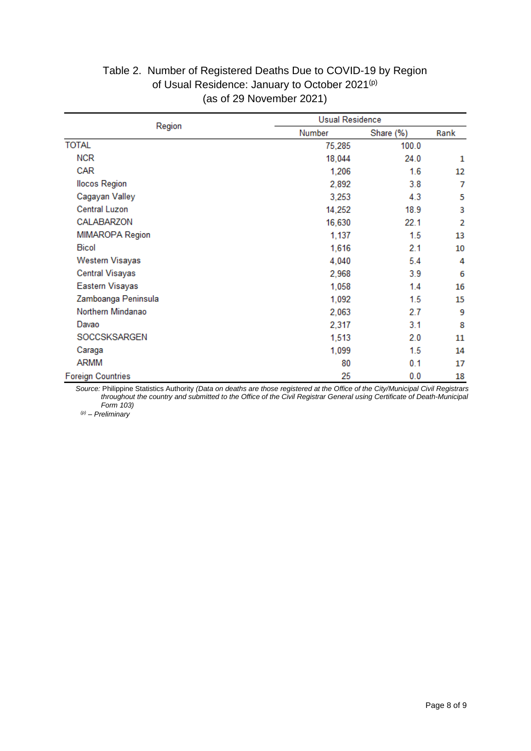|                          |        | <b>Usual Residence</b> |      |  |  |
|--------------------------|--------|------------------------|------|--|--|
| Region<br>Number         |        | Share (%)              | Rank |  |  |
| <b>TOTAL</b>             | 75,285 | 100.0                  |      |  |  |
| <b>NCR</b>               | 18,044 | 24.0                   | 1    |  |  |
| <b>CAR</b>               | 1,206  | 1.6                    | 12   |  |  |
| <b>Ilocos Region</b>     | 2,892  | 3.8                    | 7    |  |  |
| Cagayan Valley           | 3,253  | 4.3                    | 5    |  |  |
| <b>Central Luzon</b>     | 14,252 | 18.9                   | 3    |  |  |
| CALABARZON               | 16,630 | 22.1                   | 2    |  |  |
| MIMAROPA Region          | 1,137  | 1.5                    | 13   |  |  |
| <b>Bicol</b>             | 1,616  | 2.1                    | 10   |  |  |
| Western Visayas          | 4,040  | 5.4                    | 4    |  |  |
| <b>Central Visayas</b>   | 2,968  | 3.9                    | 6    |  |  |
| Eastern Visayas          | 1,058  | 1.4                    | 16   |  |  |
| Zamboanga Peninsula      | 1,092  | 1.5                    | 15   |  |  |
| Northern Mindanao        | 2,063  | 2.7                    | 9    |  |  |
| Davao                    | 2,317  | 3.1                    | 8    |  |  |
| SOCCSKSARGEN             | 1,513  | 2.0                    | 11   |  |  |
| Caraga                   | 1,099  | 1.5                    | 14   |  |  |
| ARMM                     | 80     | 0.1                    | 17   |  |  |
| <b>Foreign Countries</b> | 25     | 0.0                    | 18   |  |  |

#### Table 2. Number of Registered Deaths Due to COVID-19 by Region of Usual Residence: January to October 2021<sup>(p)</sup> (as of 29 November 2021)

*Source:* Philippine Statistics Authority *(Data on deaths are those registered at the Office of the City/Municipal Civil Registrars throughout the country and submitted to the Office of the Civil Registrar General using Certificate of Death-Municipal Form 103)*

*(p) – Preliminary*